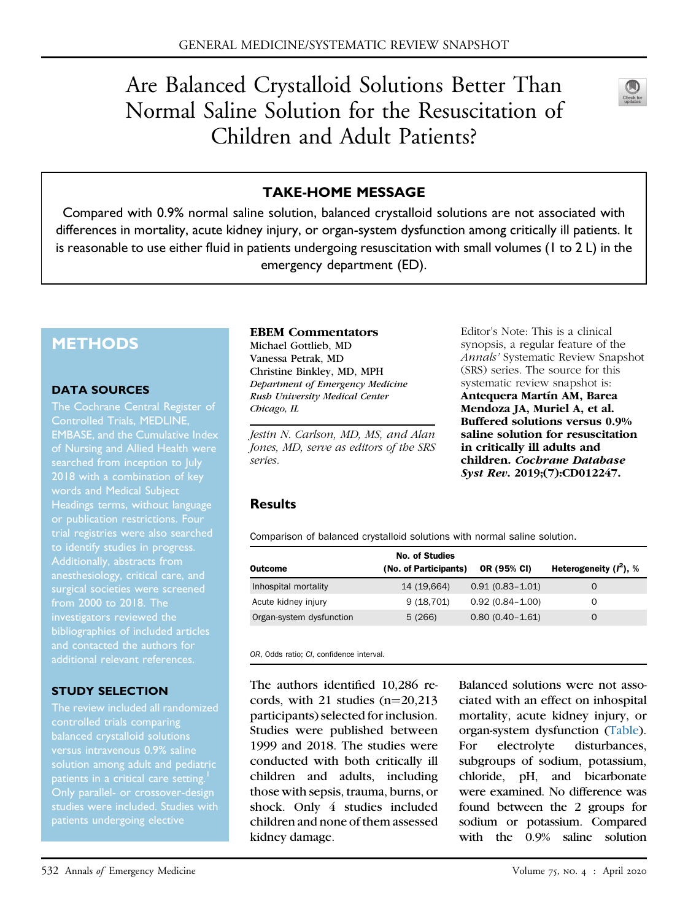# Are Balanced Crystalloid Solutions Better Than Normal Saline Solution for the Resuscitation of Children and Adult Patients?



# TAKE-HOME MESSAGE

Compared with 0.9% normal saline solution, balanced crystalloid solutions are not associated with differences in mortality, acute kidney injury, or organ-system dysfunction among critically ill patients. It is reasonable to use either fluid in patients undergoing resuscitation with small volumes (1 to 2 L) in the emergency department (ED).

# **METHODS**

#### DATA SOURCES

The Cochrane Central Register of Controlled Trials, MEDLINE, EMBASE, and the Cumulative Index of Nursing and Allied Health were searched from inception to July words and Medical Subject Headings terms, without language trial registries were also searched to identify studies in progress. Additionally, abstracts from anesthesiology, critical care, and surgical societies were screened from 2000 to 2018. The investigators reviewed the bibliographies of included articles and contacted the authors for additional relevant references.

## STUDY SELECTION

The review included all randomized controlled trials comparing versus intravenous 0.9% saline patients in a critical care setting.<sup>[1](#page-2-0)</sup> Only parallel- or crossover-design studies were included. Studies with patients undergoing elective

#### EBEM Commentators

Michael Gottlieb, MD Vanessa Petrak, MD Christine Binkley, MD, MPH Department of Emergency Medicine Rush University Medical Center Chicago, IL

Jestin N. Carlson, MD, MS, and Alan Jones, MD, serve as editors of the SRS series.

Editor's Note: This is a clinical synopsis, a regular feature of the Annals' Systematic Review Snapshot (SRS) series. The source for this systematic review snapshot is: Antequera Martín AM, Barea Mendoza JA, Muriel A, et al. Buffered solutions versus 0.9% saline solution for resuscitation in critically ill adults and children. Cochrane Database Syst Rev. 2019;(7):CD012247.

## Results

<span id="page-0-0"></span>Comparison of balanced crystalloid solutions with normal saline solution.

|                          | <b>No. of Studies</b> |                     |                           |
|--------------------------|-----------------------|---------------------|---------------------------|
| Outcome                  | (No. of Participants) | OR (95% CI)         | Heterogeneity $(I^2)$ , % |
| Inhospital mortality     | 14 (19,664)           | $0.91(0.83 - 1.01)$ | $\Omega$                  |
| Acute kidney injury      | 9(18,701)             | $0.92(0.84 - 1.00)$ | O                         |
| Organ-system dysfunction | 5(266)                | $0.80(0.40 - 1.61)$ | O                         |

OR, Odds ratio; CI, confidence interval.

The authors identified 10,286 records, with 21 studies  $(n=20,213)$ participants) selected for inclusion. Studies were published between 1999 and 2018. The studies were conducted with both critically ill children and adults, including those with sepsis, trauma, burns, or shock. Only 4 studies included children and none of them assessed kidney damage.

Balanced solutions were not associated with an effect on inhospital mortality, acute kidney injury, or organ-system dysfunction ([Table](#page-0-0)). For electrolyte disturbances, subgroups of sodium, potassium, chloride, pH, and bicarbonate were examined. No difference was found between the 2 groups for sodium or potassium. Compared with the 0.9% saline solution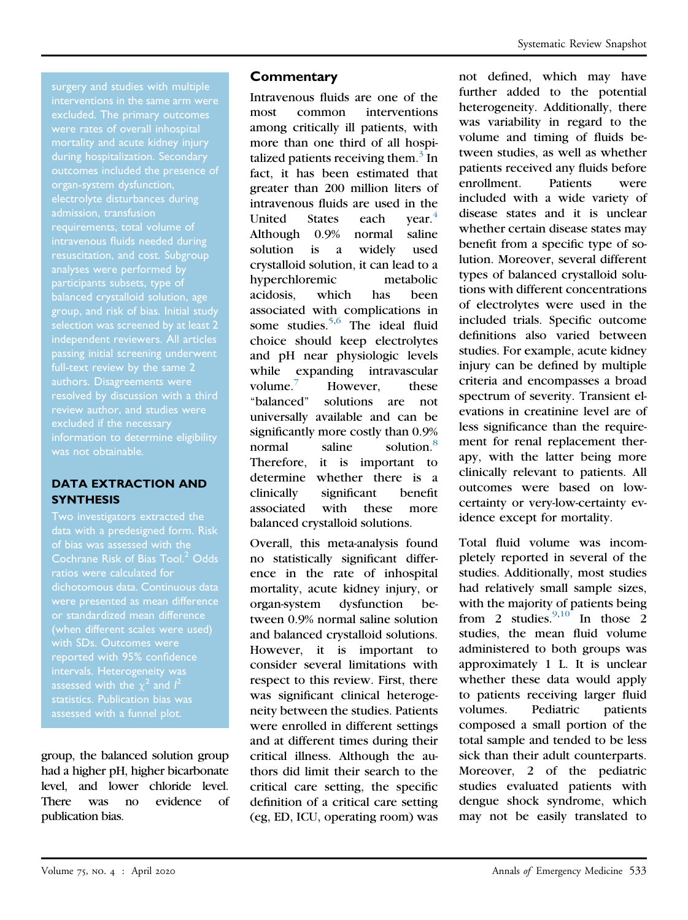surgery and studies with multiple mortality and acute kidney injury during hospitalization. Secondary organ-system dysfunction, electrolyte disturbances during admission, transfusion requirements, total volume of intravenous fluids needed during resuscitation, and cost. Subgroup participants subsets, type of balanced crystalloid solution, age passing initial screening underwent authors. Disagreements were review author, and studies were information to determine eligibility was not obtainable.

# DATA EXTRACTION AND **SYNTHESIS**

Two investigators extracted the data with a predesigned form. Risk of bias was assessed with the ratios were calculated for dichotomous data. Continuous data or standardized mean difference (when different scales were used) with SDs. Outcomes were reported with 95% confidence intervals. Heterogeneity was statistics. Publication bias was

group, the balanced solution group had a higher pH, higher bicarbonate level, and lower chloride level. There was no evidence of publication bias.

# **Commentary**

Intravenous fluids are one of the most common interventions among critically ill patients, with more than one third of all hospitalized patients receiving them. $3 \text{ In}$ fact, it has been estimated that greater than 200 million liters of intravenous fluids are used in the United States each  $vear<sup>4</sup>$  $vear<sup>4</sup>$  $vear<sup>4</sup>$ Although 0.9% normal saline solution is a widely used crystalloid solution, it can lead to a hyperchloremic metabolic acidosis, which has been associated with complications in some studies. $5,6$  $5,6$  The ideal fluid choice should keep electrolytes and pH near physiologic levels while expanding intravascular volume. $\frac{7}{10}$  $\frac{7}{10}$  $\frac{7}{10}$  However, these "balanced" solutions are not universally available and can be significantly more costly than 0.9% normal saline solution.<sup>8</sup> Therefore, it is important to determine whether there is a clinically significant benefit associated with these more balanced crystalloid solutions.

Overall, this meta-analysis found no statistically significant difference in the rate of inhospital mortality, acute kidney injury, or organ-system dysfunction between 0.9% normal saline solution and balanced crystalloid solutions. However, it is important to consider several limitations with respect to this review. First, there was significant clinical heterogeneity between the studies. Patients were enrolled in different settings and at different times during their critical illness. Although the authors did limit their search to the critical care setting, the specific definition of a critical care setting (eg, ED, ICU, operating room) was

not defined, which may have further added to the potential heterogeneity. Additionally, there was variability in regard to the volume and timing of fluids between studies, as well as whether patients received any fluids before enrollment. Patients were included with a wide variety of disease states and it is unclear whether certain disease states may benefit from a specific type of solution. Moreover, several different types of balanced crystalloid solutions with different concentrations of electrolytes were used in the included trials. Specific outcome definitions also varied between studies. For example, acute kidney injury can be defined by multiple criteria and encompasses a broad spectrum of severity. Transient elevations in creatinine level are of less significance than the requirement for renal replacement therapy, with the latter being more clinically relevant to patients. All outcomes were based on lowcertainty or very-low-certainty evidence except for mortality.

Total fluid volume was incompletely reported in several of the studies. Additionally, most studies had relatively small sample sizes, with the majority of patients being from 2 studies. $9,10$  $9,10$  In those 2 studies, the mean fluid volume administered to both groups was approximately 1 L. It is unclear whether these data would apply to patients receiving larger fluid volumes. Pediatric patients composed a small portion of the total sample and tended to be less sick than their adult counterparts. Moreover, 2 of the pediatric studies evaluated patients with dengue shock syndrome, which may not be easily translated to